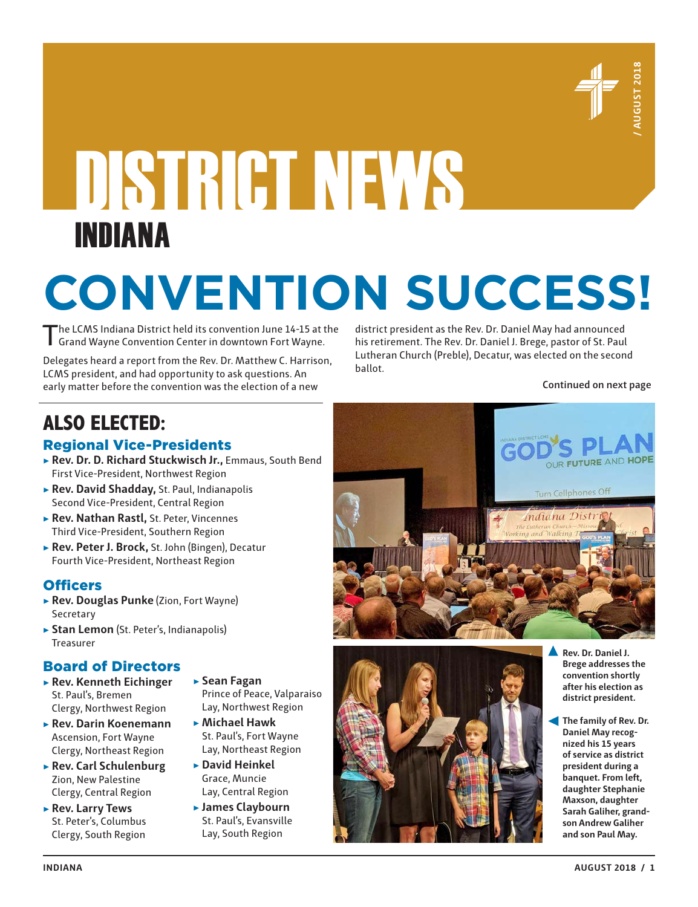

# DISTRICT NEWS INDIANA

# **CONVENTION SUCCESS!**

The LCMS Indiana District held its convention June 14-15 at the Grand Wayne Convention Center in downtown Fort Wayne.

Delegates heard a report from the Rev. Dr. Matthew C. Harrison, LCMS president, and had opportunity to ask questions. An early matter before the convention was the election of a new

district president as the Rev. Dr. Daniel May had announced his retirement. The Rev. Dr. Daniel J. Brege, pastor of St. Paul Lutheran Church (Preble), Decatur, was elected on the second ballot.

**Continued on next page**

## **ALSO ELECTED:**

#### Regional Vice-Presidents

- ▶ **Rev. Dr. D. Richard Stuckwisch Jr.,** Emmaus, South Bend First Vice-President, Northwest Region
- ▶ **Rev. David Shadday,** St. Paul, Indianapolis Second Vice-President, Central Region
- ▶ **Rev. Nathan Rastl,** St. Peter, Vincennes Third Vice-President, Southern Region
- ▶ **Rev. Peter J. Brock,** St. John (Bingen), Decatur Fourth Vice-President, Northeast Region

#### **Officers**

- ▶ **Rev. Douglas Punke** (Zion, Fort Wayne) Secretary
- ▶ Stan Lemon (St. Peter's, Indianapolis) Treasurer

#### Board of Directors

- ▶ **Rev. Kenneth Eichinger** St. Paul's, Bremen Clergy, Northwest Region
- ▶ **Rev. Darin Koenemann** Ascension, Fort Wayne Clergy, Northeast Region
- ▶ **Rev. Carl Schulenburg** Zion, New Palestine Clergy, Central Region
- ▶ **Rev. Larry Tews** St. Peter's, Columbus Clergy, South Region
- ▶ **Sean Fagan**  Prince of Peace, Valparaiso
	- Lay, Northwest Region ▶ **Michael Hawk** St. Paul's, Fort Wayne Lay, Northeast Region
- ▶ **David Heinkel** Grace, Muncie Lay, Central Region
- ▶ **James Claybourn** St. Paul's, Evansville Lay, South Region





- **Rev. Dr. Daniel J. Brege addresses the convention shortly after his election as district president.**
- **The family of Rev. Dr. Daniel May recognized his 15 years of service as district president during a banquet. From left, daughter Stephanie Maxson, daughter Sarah Galiher, grandson Andrew Galiher and son Paul May.**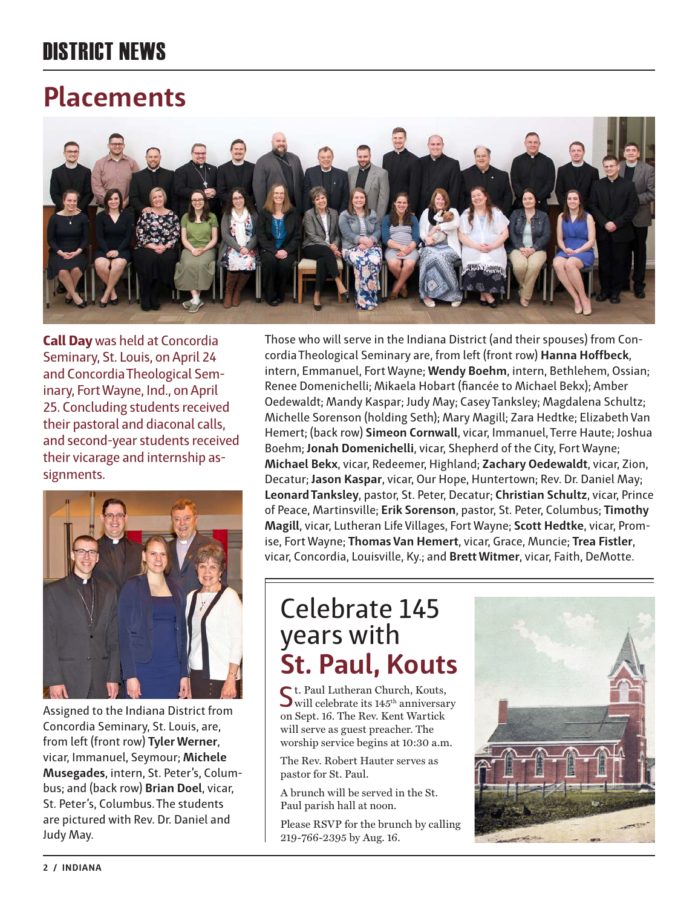## DISTRICT NEWS

## **Placements**



**Call Day** was held at Concordia Seminary, St. Louis, on April 24 and Concordia Theological Seminary, Fort Wayne, Ind., on April 25. Concluding students received their pastoral and diaconal calls, and second-year students received their vicarage and internship assignments.



Assigned to the Indiana District from Concordia Seminary, St. Louis, are, from left (front row) **Tyler Werner**, vicar, Immanuel, Seymour; **Michele Musegades**, intern, St. Peter's, Columbus; and (back row) **Brian Doel**, vicar, St. Peter's, Columbus. The students are pictured with Rev. Dr. Daniel and Judy May.

Those who will serve in the Indiana District (and their spouses) from Concordia Theological Seminary are, from left (front row) **Hanna Hoffbeck**, intern, Emmanuel, Fort Wayne; **Wendy Boehm**, intern, Bethlehem, Ossian; Renee Domenichelli; Mikaela Hobart (fiancée to Michael Bekx); Amber Oedewaldt; Mandy Kaspar; Judy May; Casey Tanksley; Magdalena Schultz; Michelle Sorenson (holding Seth); Mary Magill; Zara Hedtke; Elizabeth Van Hemert; (back row) **Simeon Cornwall**, vicar, Immanuel, Terre Haute; Joshua Boehm; **Jonah Domenichelli**, vicar, Shepherd of the City, Fort Wayne; **Michael Bekx**, vicar, Redeemer, Highland; **Zachary Oedewaldt**, vicar, Zion, Decatur; **Jason Kaspar**, vicar, Our Hope, Huntertown; Rev. Dr. Daniel May; **Leonard Tanksley**, pastor, St. Peter, Decatur; **Christian Schultz**, vicar, Prince of Peace, Martinsville; **Erik Sorenson**, pastor, St. Peter, Columbus; **Timothy Magill**, vicar, Lutheran Life Villages, Fort Wayne; **Scott Hedtke**, vicar, Promise, Fort Wayne; **Thomas Van Hemert**, vicar, Grace, Muncie; **Trea Fistler**, vicar, Concordia, Louisville, Ky.; and **Brett Witmer**, vicar, Faith, DeMotte.

## Celebrate 145 years with **St. Paul, Kouts**

St. Paul Lutheran Church, Kouts,<br>
will celebrate its 145<sup>th</sup> anniversary on Sept. 16. The Rev. Kent Wartick will serve as guest preacher. The worship service begins at 10:30 a.m.

The Rev. Robert Hauter serves as pastor for St. Paul.

A brunch will be served in the St. Paul parish hall at noon.

Please RSVP for the brunch by calling 219-766-2395 by Aug. 16.

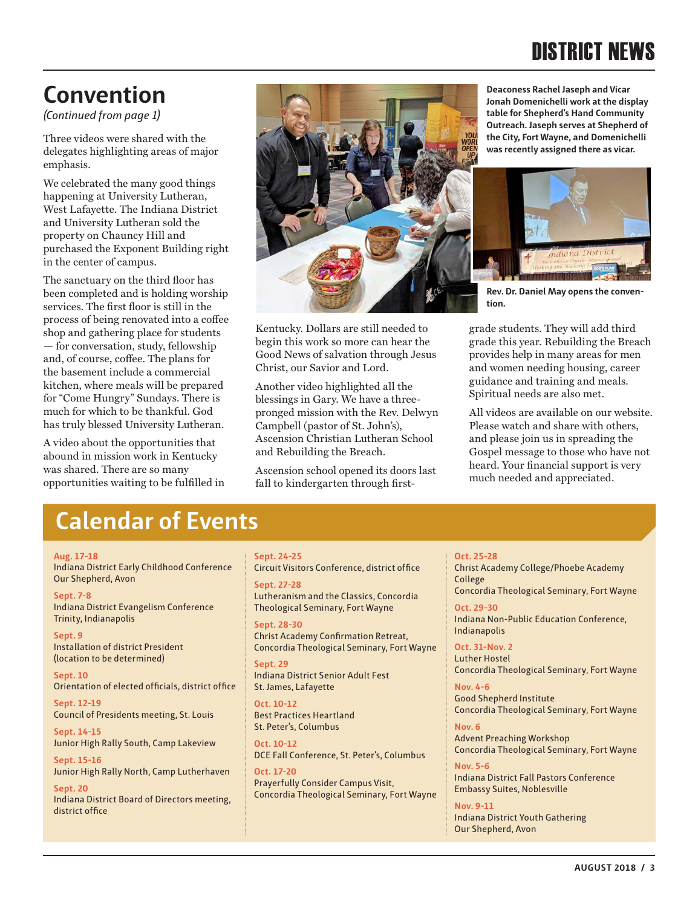## DISTRICT NEWS

## **Convention**

*(Continued from page 1)*

Three videos were shared with the delegates highlighting areas of major emphasis.

We celebrated the many good things happening at University Lutheran, West Lafayette. The Indiana District and University Lutheran sold the property on Chauncy Hill and purchased the Exponent Building right in the center of campus.

The sanctuary on the third floor has been completed and is holding worship services. The first floor is still in the process of being renovated into a coffee shop and gathering place for students — for conversation, study, fellowship and, of course, coffee. The plans for the basement include a commercial kitchen, where meals will be prepared for "Come Hungry" Sundays. There is much for which to be thankful. God has truly blessed University Lutheran.

A video about the opportunities that abound in mission work in Kentucky was shared. There are so many opportunities waiting to be fulfilled in



Kentucky. Dollars are still needed to begin this work so more can hear the Good News of salvation through Jesus Christ, our Savior and Lord.

Another video highlighted all the blessings in Gary. We have a threepronged mission with the Rev. Delwyn Campbell (pastor of St. John's), Ascension Christian Lutheran School and Rebuilding the Breach.

Ascension school opened its doors last fall to kindergarten through first**Deaconess Rachel Jaseph and Vicar Jonah Domenichelli work at the display table for Shepherd's Hand Community Outreach. Jaseph serves at Shepherd of the City, Fort Wayne, and Domenichelli was recently assigned there as vicar.**



**Rev. Dr. Daniel May opens the convention.**

grade students. They will add third grade this year. Rebuilding the Breach provides help in many areas for men and women needing housing, career guidance and training and meals. Spiritual needs are also met.

All videos are available on our website. Please watch and share with others, and please join us in spreading the Gospel message to those who have not heard. Your financial support is very much needed and appreciated.

#### **Calendar of Events**

#### **Aug. 17-18**

Indiana District Early Childhood Conference Our Shepherd, Avon

**Sept. 7-8** Indiana District Evangelism Conference Trinity, Indianapolis

**Sept. 9** Installation of district President (location to be determined)

**Sept. 10** Orientation of elected officials, district office

**Sept. 12-19** Council of Presidents meeting, St. Louis

**Sept. 14-15** Junior High Rally South, Camp Lakeview

**Sept. 15-16** Junior High Rally North, Camp Lutherhaven

**Sept. 20** Indiana District Board of Directors meeting, district office

#### **Sept. 24-25**

Circuit Visitors Conference, district office

**Sept. 27-28** Lutheranism and the Classics, Concordia Theological Seminary, Fort Wayne

**Sept. 28-30** Christ Academy Confirmation Retreat, Concordia Theological Seminary, Fort Wayne

**Sept. 29** Indiana District Senior Adult Fest St. James, Lafayette

**Oct. 10-12** Best Practices Heartland St. Peter's, Columbus

**Oct. 10-12** DCE Fall Conference, St. Peter's, Columbus

**Oct. 17-20** Prayerfully Consider Campus Visit, Concordia Theological Seminary, Fort Wayne **Oct. 25-28**

Christ Academy College/Phoebe Academy College Concordia Theological Seminary, Fort Wayne

**Oct. 29-30** Indiana Non-Public Education Conference, Indianapolis

**Oct. 31-Nov. 2** Luther Hostel Concordia Theological Seminary, Fort Wayne

**Nov. 4-6** Good Shepherd Institute Concordia Theological Seminary, Fort Wayne

**Nov. 6** Advent Preaching Workshop Concordia Theological Seminary, Fort Wayne

**Nov. 5-6** Indiana District Fall Pastors Conference Embassy Suites, Noblesville

**Nov. 9-11** Indiana District Youth Gathering Our Shepherd, Avon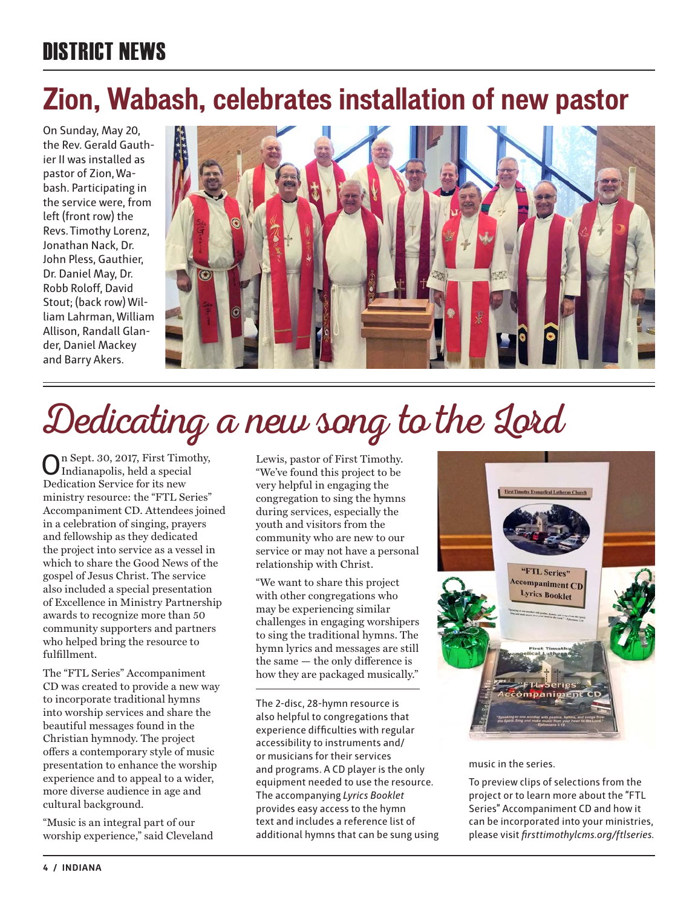## DISTRICT NEWS

## **Zion, Wabash, celebrates installation of new pastor**

On Sunday, May 20, the Rev. Gerald Gauthier II was installed as pastor of Zion, Wabash. Participating in the service were, from left (front row) the Revs. Timothy Lorenz, Jonathan Nack, Dr. John Pless, Gauthier, Dr. Daniel May, Dr. Robb Roloff, David Stout; (back row) William Lahrman, William Allison, Randall Glander, Daniel Mackey and Barry Akers.



## Dedicating a new song to the Lord

n Sept. 30, 2017, First Timothy, Indianapolis, held a special Dedication Service for its new ministry resource: the "FTL Series" Accompaniment CD. Attendees joined in a celebration of singing, prayers and fellowship as they dedicated the project into service as a vessel in which to share the Good News of the gospel of Jesus Christ. The service also included a special presentation of Excellence in Ministry Partnership awards to recognize more than 50 community supporters and partners who helped bring the resource to fulfillment.

The "FTL Series" Accompaniment CD was created to provide a new way to incorporate traditional hymns into worship services and share the beautiful messages found in the Christian hymnody. The project offers a contemporary style of music presentation to enhance the worship experience and to appeal to a wider, more diverse audience in age and cultural background.

"Music is an integral part of our worship experience," said Cleveland

Lewis, pastor of First Timothy. "We've found this project to be very helpful in engaging the congregation to sing the hymns during services, especially the youth and visitors from the community who are new to our service or may not have a personal relationship with Christ.

"We want to share this project with other congregations who may be experiencing similar challenges in engaging worshipers to sing the traditional hymns. The hymn lyrics and messages are still the same — the only difference is how they are packaged musically."

The 2-disc, 28-hymn resource is also helpful to congregations that experience difficulties with regular accessibility to instruments and/ or musicians for their services and programs. A CD player is the only equipment needed to use the resource. The accompanying *Lyrics Booklet* provides easy access to the hymn text and includes a reference list of additional hymns that can be sung using



music in the series.

To preview clips of selections from the project or to learn more about the "FTL Series" Accompaniment CD and how it can be incorporated into your ministries, please visit *firsttimothylcms.org/ftlseries.*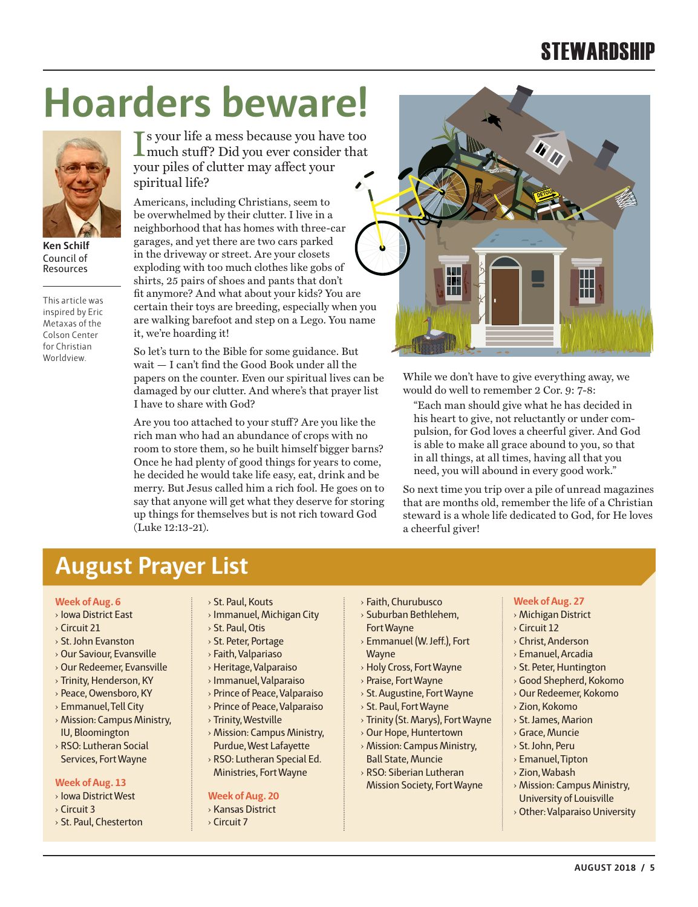## **STEWARDSHIP**

## **Hoarders beware!**



**Ken Schilf** Council of Resources

This article was inspired by Eric Metaxas of the Colson Center for Christian Worldview.

If your life a mess because you have too<br>much stuff? Did you ever consider that much stuff? Did you ever consider that your piles of clutter may affect your spiritual life?

Americans, including Christians, seem to be overwhelmed by their clutter. I live in a neighborhood that has homes with three-car garages, and yet there are two cars parked in the driveway or street. Are your closets exploding with too much clothes like gobs of shirts, 25 pairs of shoes and pants that don't fit anymore? And what about your kids? You are certain their toys are breeding, especially when you are walking barefoot and step on a Lego. You name it, we're hoarding it!

So let's turn to the Bible for some guidance. But wait — I can't find the Good Book under all the papers on the counter. Even our spiritual lives can be damaged by our clutter. And where's that prayer list I have to share with God?

Are you too attached to your stuff? Are you like the rich man who had an abundance of crops with no room to store them, so he built himself bigger barns? Once he had plenty of good things for years to come, he decided he would take life easy, eat, drink and be merry. But Jesus called him a rich fool. He goes on to say that anyone will get what they deserve for storing up things for themselves but is not rich toward God (Luke 12:13-21).



While we don't have to give everything away, we would do well to remember 2 Cor. 9: 7-8:

"Each man should give what he has decided in his heart to give, not reluctantly or under compulsion, for God loves a cheerful giver. And God is able to make all grace abound to you, so that in all things, at all times, having all that you need, you will abound in every good work."

So next time you trip over a pile of unread magazines that are months old, remember the life of a Christian steward is a whole life dedicated to God, for He loves a cheerful giver!

#### **August Prayer List**

#### **Week of Aug. 6**

- › Iowa District East
- › Circuit 21
- › St. John Evanston
- › Our Saviour, Evansville
- › Our Redeemer, Evansville
- › Trinity, Henderson, KY
- › Peace, Owensboro, KY
- › Emmanuel, Tell City
- › Mission: Campus Ministry, IU, Bloomington
- › RSO: Lutheran Social Services, Fort Wayne

#### **Week of Aug. 13**

- › Iowa District West
- › Circuit 3
- › St. Paul, Chesterton
- › St. Paul, Kouts
- › Immanuel, Michigan City
	- › St. Paul, Otis
	- › St. Peter, Portage
	- › Faith, Valpariaso
- › Heritage, Valparaiso
- › Immanuel, Valparaiso
- › Prince of Peace, Valparaiso
- › Prince of Peace, Valparaiso
- › Trinity, Westville
- › Mission: Campus Ministry, Purdue, West Lafayette
- › RSO: Lutheran Special Ed. Ministries, Fort Wayne

#### **Week of Aug. 20**

- › Kansas District
- › Circuit 7
- › Faith, Churubusco › Suburban Bethlehem,
- Fort Wayne › Emmanuel (W. Jeff.), Fort
- Wayne › Holy Cross, Fort Wayne
- 
- › Praise, Fort Wayne
- › St. Augustine, Fort Wayne › St. Paul, Fort Wayne
- › Trinity (St. Marys), Fort Wayne
- › Our Hope, Huntertown
- › Mission: Campus Ministry,
- Ball State, Muncie › RSO: Siberian Lutheran
- Mission Society, Fort Wayne

#### › Michigan District

- › Circuit 12
- › Christ, Anderson

**Week of Aug. 27**

- › Emanuel, Arcadia
- › St. Peter, Huntington
- › Good Shepherd, Kokomo
- › Our Redeemer, Kokomo
- › Zion, Kokomo
- › St. James, Marion
- › Grace, Muncie
- › St. John, Peru
- › Emanuel, Tipton
- › Zion, Wabash
- › Mission: Campus Ministry, University of Louisville
- › Other: Valparaiso University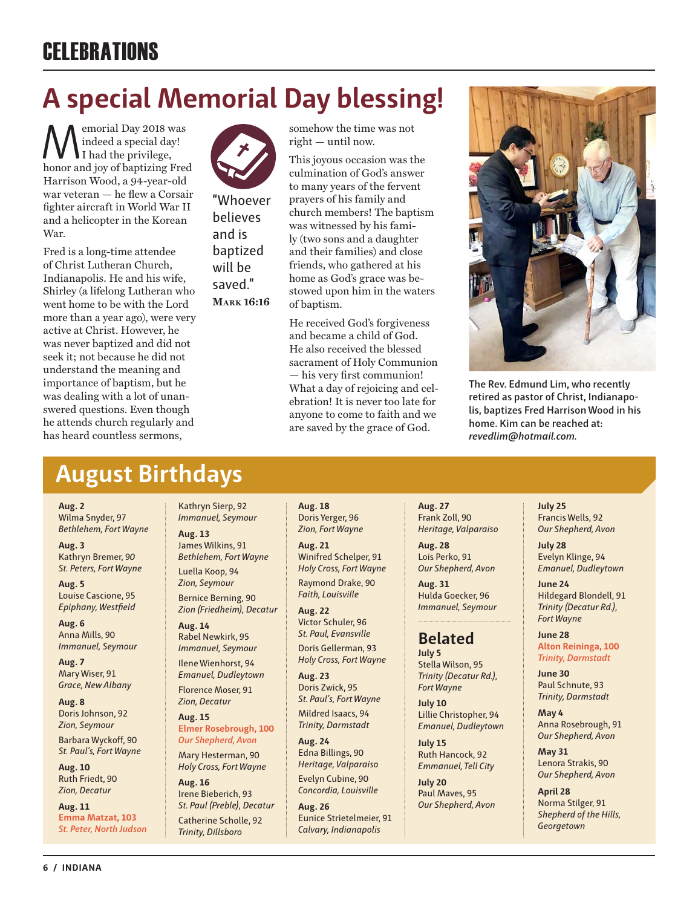## **CELEBRATIONS**

## **A special Memorial Day blessing!**

Memorial Day 2018 was honor and joy of baptizing Fred indeed a special day! I had the privilege, Harrison Wood, a 94-year-old war veteran — he flew a Corsair fighter aircraft in World War II and a helicopter in the Korean War.

Fred is a long-time attendee of Christ Lutheran Church, Indianapolis. He and his wife, Shirley (a lifelong Lutheran who went home to be with the Lord more than a year ago), were very active at Christ. However, he was never baptized and did not seek it; not because he did not understand the meaning and importance of baptism, but he was dealing with a lot of unanswered questions. Even though he attends church regularly and has heard countless sermons,



"Whoever believes and is baptized will be saved." **Mark 16:16**

somehow the time was not right — until now.

This joyous occasion was the culmination of God's answer to many years of the fervent prayers of his family and church members! The baptism was witnessed by his family (two sons and a daughter and their families) and close friends, who gathered at his home as God's grace was bestowed upon him in the waters of baptism.

He received God's forgiveness and became a child of God. He also received the blessed sacrament of Holy Communion — his very first communion! What a day of rejoicing and celebration! It is never too late for anyone to come to faith and we are saved by the grace of God.



**The Rev. Edmund Lim, who recently retired as pastor of Christ, Indianapolis, baptizes Fred Harrison Wood in his home. Kim can be reached at:** *revedlim@hotmail.com.*

#### **August Birthdays**

**Aug. 2** Wilma Snyder, 97 *Bethlehem, Fort Wayne*

**Aug. 3** Kathryn Bremer, 9*0 St. Peters, Fort Wayne*

**Aug. 5** Louise Cascione, 95 *Epiphany, Westfield*

**Aug. 6** Anna Mills, 90 *Immanuel, Seymour*

**Aug. 7** Mary Wiser, 91 *Grace, New Albany*

**Aug. 8** Doris Johnson, 92 *Zion, Seymour*

Barbara Wyckoff, 90 *St. Paul's, Fort Wayne*

**Aug. 10** Ruth Friedt, 90 *Zion, Decatur*

**Aug. 11 Emma Matzat, 103** *St. Peter, North Judson*

Kathryn Sierp, 92 *Immanuel, Seymour*

**Aug. 13** James Wilkins, 91 *Bethlehem, Fort Wayne* Luella Koop, 94 *Zion, Seymour* Bernice Berning, 90 *Zion (Friedheim), Decatur*

**Aug. 14** Rabel Newkirk, 95

*Immanuel, Seymour* Ilene Wienhorst, 94

*Emanuel, Dudleytown*  Florence Moser, 91 *Zion, Decatur*

**Aug. 15 Elmer Rosebrough, 100** *Our Shepherd, Avon*

Mary Hesterman, 90 *Holy Cross, Fort Wayne*

**Aug. 16** Irene Bieberich, 93 *St. Paul (Preble), Decatur* Catherine Scholle, 92 *Trinity, Dillsboro*

**Aug. 18**  Doris Yerger, 96 *Zion, Fort Wayne*

**Aug. 21**  Winifred Schelper, 91 *Holy Cross, Fort Wayne* Raymond Drake, 90 *Faith, Louisville*

**Aug. 22**  Victor Schuler, 96 *St. Paul, Evansville* Doris Gellerman, 93 *Holy Cross, Fort Wayne*

**Aug. 23**  Doris Zwick, 95 *St. Paul's, Fort Wayne* Mildred Isaacs, 94 *Trinity, Darmstadt*

**Aug. 24**  Edna Billings, 90 *Heritage, Valparaiso*

Evelyn Cubine, 90 *Concordia, Louisville*

**Aug. 26**  Eunice Strietelmeier, 91 *Calvary, Indianapolis*

**Aug. 27**  Frank Zoll, 90 *Heritage, Valparaiso*

**Aug. 28**  Lois Perko, 91 *Our Shepherd, Avon*

**Aug. 31**  Hulda Goecker, 96 *Immanuel, Seymour*

#### **Belated**

**July 5** Stella Wilson, 95 *Trinity (Decatur Rd.), Fort Wayne*

**July 10** Lillie Christopher, 94 *Emanuel, Dudleytown*

**July 15** Ruth Hancock, 92 *Emmanuel, Tell City*

**July 20** Paul Maves, 95 *Our Shepherd, Avon* **July 25** Francis Wells, 92 *Our Shepherd, Avon*

**July 28** Evelyn Klinge, 94 *Emanuel, Dudleytown* 

**June 24** Hildegard Blondell, 91 *Trinity (Decatur Rd.), Fort Wayne*

**June 28 Alton Reininga, 100** *Trinity, Darmstadt*

**June 30** Paul Schnute, 93 *Trinity, Darmstadt*

**May 4** Anna Rosebrough, 91 *Our Shepherd, Avon*

**May 31** Lenora Strakis, 90 *Our Shepherd, Avon*

**April 28** Norma Stilger, 91 *Shepherd of the Hills, Georgetown*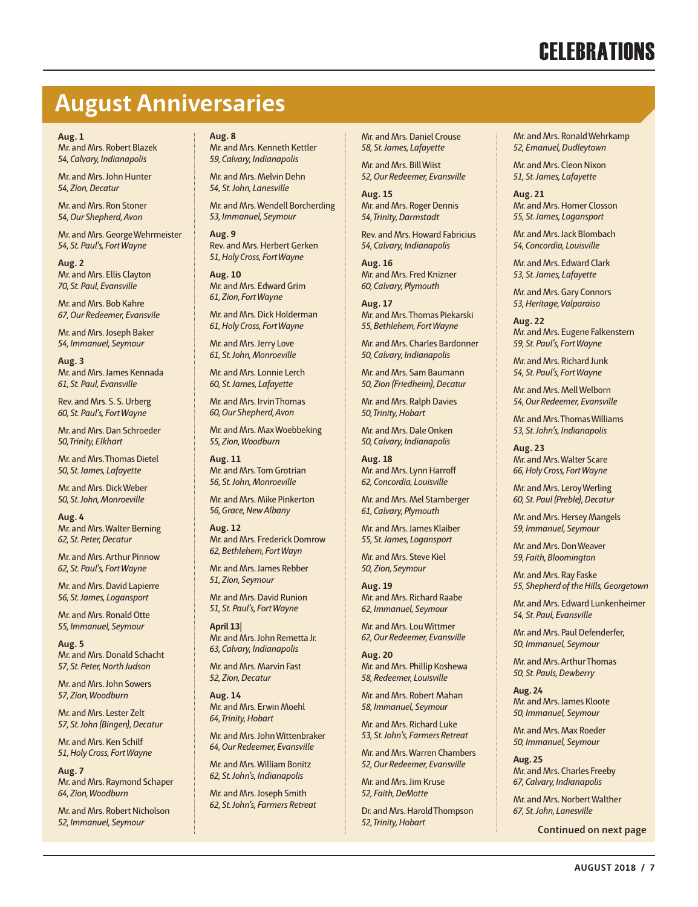## **CELEBRATIONS**

#### **August Anniversaries**

#### **Aug. 1**

Mr. and Mrs. Robert Blazek *54, Calvary, Indianapolis*

Mr. and Mrs. John Hunter *54, Zion, Decatur*

Mr. and Mrs. Ron Stoner *54, Our Shepherd, Avon*

Mr. and Mrs. George Wehrmeister *54, St. Paul's, Fort Wayne*

**Aug. 2** Mr. and Mrs. Ellis Clayton *70, St. Paul, Evansville*

Mr. and Mrs. Bob Kahre *67, Our Redeemer, Evansvile*

Mr. and Mrs. Joseph Baker *54, Immanuel, Seymour*

**Aug. 3** Mr. and Mrs. James Kennada *61, St. Paul, Evansville*

Rev. and Mrs. S. S. Urberg *60, St. Paul's, Fort Wayne*

Mr. and Mrs. Dan Schroeder *50, Trinity, Elkhart*

Mr. and Mrs. Thomas Dietel *50, St. James, Lafayette*

Mr. and Mrs. Dick Weber *50, St. John, Monroeville* 

**Aug. 4** Mr. and Mrs. Walter Berning *62, St. Peter, Decatur*

Mr. and Mrs. Arthur Pinnow *62, St. Paul's, Fort Wayne*

Mr. and Mrs. David Lapierre *56, St. James, Logansport*

Mr. and Mrs. Ronald Otte *55, Immanuel, Seymour*

**Aug. 5** Mr. and Mrs. Donald Schacht *57, St. Peter, North Judson*

Mr. and Mrs. John Sowers *57, Zion, Woodburn*

Mr. and Mrs. Lester Zelt *57, St. John (Bingen), Decatur*

Mr. and Mrs. Ken Schilf *51, Holy Cross, Fort Wayne*

**Aug. 7** Mr. and Mrs. Raymond Schaper *64, Zion, Woodburn*

Mr. and Mrs. Robert Nicholson *52, Immanuel, Seymour*

#### **Aug. 8**

Mr. and Mrs. Kenneth Kettler *59, Calvary, Indianapolis*

Mr. and Mrs. Melvin Dehn *54, St. John, Lanesville*

Mr. and Mrs. Wendell Borcherding *53, Immanuel, Seymour*

**Aug. 9** Rev. and Mrs. Herbert Gerken *51, Holy Cross, Fort Wayne*

**Aug. 10** Mr. and Mrs. Edward Grim *61, Zion, Fort Wayne*

Mr. and Mrs. Dick Holderman *61, Holy Cross, Fort Wayne*

Mr. and Mrs. Jerry Love *61, St. John, Monroeville*

Mr. and Mrs. Lonnie Lerch *60, St. James, Lafayette*

Mr. and Mrs. Irvin Thomas *60, Our Shepherd, Avon*

Mr. and Mrs. Max Woebbeking *55, Zion, Woodburn*

**Aug. 11** Mr. and Mrs. Tom Grotrian *56, St. John, Monroeville*

Mr. and Mrs. Mike Pinkerton *56, Grace, New Albany*

**Aug. 12** Mr. and Mrs. Frederick Domrow *62, Bethlehem, Fort Wayn*

Mr. and Mrs. James Rebber *51, Zion, Seymour*

Mr. and Mrs. David Runion *51, St. Paul's, Fort Wayne* 

**April 13**| Mr. and Mrs. John Remetta Jr. *63, Calvary, Indianapolis*

Mr. and Mrs. Marvin Fast *52, Zion, Decatur*

**Aug. 14** Mr. and Mrs. Erwin Moehl *64, Trinity, Hobart*

Mr. and Mrs. John Wittenbraker *64, Our Redeemer, Evansville*

Mr. and Mrs. William Bonitz *62, St. John's, Indianapolis*

Mr. and Mrs. Joseph Smith *62, St. John's, Farmers Retreat*

Mr. and Mrs. Daniel Crouse *58, St. James, Lafayette*

Mr. and Mrs. Bill Wiist *52, Our Redeemer, Evansville*

**Aug. 15** Mr. and Mrs. Roger Dennis *54, Trinity, Darmstadt*

Rev. and Mrs. Howard Fabricius *54, Calvary, Indianapolis*

**Aug. 16** Mr. and Mrs. Fred Knizner *60, Calvary, Plymouth*

**Aug. 17** Mr. and Mrs. Thomas Piekarski *55, Bethlehem, Fort Wayne*

Mr. and Mrs. Charles Bardonner *50, Calvary, Indianapolis*

Mr. and Mrs. Sam Baumann *50, Zion (Friedheim), Decatur* Mr. and Mrs. Ralph Davies

*50, Trinity, Hobart*

Mr. and Mrs. Dale Onken *50, Calvary, Indianapolis*

**Aug. 18** Mr. and Mrs. Lynn Harroff *62, Concordia, Louisville*

Mr. and Mrs. Mel Stamberger *61, Calvary, Plymouth*

Mr. and Mrs. James Klaiber *55, St. James, Logansport* Mr. and Mrs. Steve Kiel *50, Zion, Seymour*

**Aug. 19** Mr. and Mrs. Richard Raabe *62, Immanuel, Seymour*

Mr. and Mrs. Lou Wittmer *62, Our Redeemer, Evansville*

**Aug. 20** Mr. and Mrs. Phillip Koshewa *58, Redeemer, Louisville*

Mr. and Mrs. Robert Mahan *58, Immanuel, Seymour*

Mr. and Mrs. Richard Luke *53, St. John's, Farmers Retreat*

Mr. and Mrs. Warren Chambers *52, Our Redeemer, Evansville*

Mr. and Mrs. Jim Kruse *52, Faith, DeMotte*

Dr. and Mrs. Harold Thompson *52, Trinity, Hobart*

Mr. and Mrs. Ronald Wehrkamp *52, Emanuel, Dudleytown*

Mr. and Mrs. Cleon Nixon *51, St. James, Lafayette*

**Aug. 21** Mr. and Mrs. Homer Closson *55, St. James, Logansport*

Mr. and Mrs. Jack Blombach *54, Concordia, Louisville*

Mr. and Mrs. Edward Clark *53, St. James, Lafayette*

Mr. and Mrs. Gary Connors *53, Heritage, Valparaiso*

**Aug. 22** Mr. and Mrs. Eugene Falkenstern *59, St. Paul's, Fort Wayne*

Mr. and Mrs. Richard Junk *54, St. Paul's, Fort Wayne*

Mr. and Mrs. Mell Welborn *54, Our Redeemer, Evansville*

Mr. and Mrs. Thomas Williams *53, St. John's, Indianapolis* 

**Aug. 23** Mr. and Mrs. Walter Scare *66, Holy Cross, Fort Wayne*

Mr. and Mrs. Leroy Werling *60, St. Paul (Preble), Decatur*

Mr. and Mrs. Hersey Mangels *59, Immanuel, Seymour*

Mr. and Mrs. Don Weaver *59, Faith, Bloomington*

Mr. and Mrs. Ray Faske *55, Shepherd of the Hills, Georgetown*

Mr. and Mrs. Edward Lunkenheimer *54, St. Paul, Evansville*

Mr. and Mrs. Paul Defenderfer, *50, Immanuel, Seymour*

Mr. and Mrs. Arthur Thomas *50, St. Pauls, Dewberry*

**Aug. 24** Mr. and Mrs. James Kloote *50, Immanuel, Seymour*

Mr. and Mrs. Max Roeder *50, Immanuel, Seymour*

**Aug. 25** Mr. and Mrs. Charles Freeby *67, Calvary, Indianapolis*

Mr. and Mrs. Norbert Walther *67, St. John, Lanesville*

**Continued on next page**